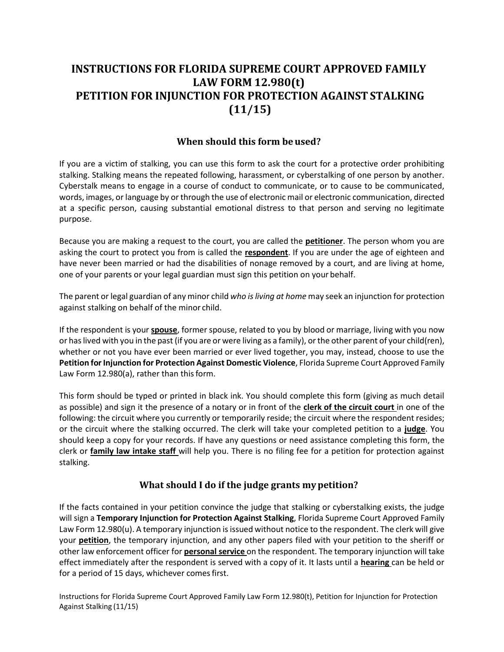# **INSTRUCTIONS FOR FLORIDA SUPREME COURT APPROVED FAMILY LAW FORM 12.980(t) PETITION FOR INJUNCTION FOR PROTECTION AGAINST STALKING (11/15)**

## **When should this form beused?**

If you are a victim of stalking, you can use this form to ask the court for a protective order prohibiting stalking. Stalking means the repeated following, harassment, or cyberstalking of one person by another. Cyberstalk means to engage in a course of conduct to communicate, or to cause to be communicated, words, images, or language by orthrough the use of electronic mail or electronic communication, directed at a specific person, causing substantial emotional distress to that person and serving no legitimate purpose.

Because you are making a request to the court, you are called the **petitioner**. The person whom you are asking the court to protect you from is called the **respondent**. If you are under the age of eighteen and have never been married or had the disabilities of nonage removed by a court, and are living at home, one of your parents or your legal guardian must sign this petition on your behalf.

The parent or legal guardian of any minor child *who isliving at home* may seek an injunction for protection against stalking on behalf of the minor child.

If the respondent is your **spouse**, former spouse, related to you by blood or marriage, living with you now or haslived with you in the past (if you are or were living as a family), orthe other parent of your child(ren), whether or not you have ever been married or ever lived together, you may, instead, choose to use the **Petition for Injunction for Protection Against Domestic Violence, Florida Supreme Court Approved Family** Law Form 12.980(a), rather than this form.

This form should be typed or printed in black ink. You should complete this form (giving as much detail as possible) and sign it the presence of a notary or in front of the **clerk of the circuit court** in one of the following: the circuit where you currently or temporarily reside; the circuit where the respondent resides; or the circuit where the stalking occurred. The clerk will take your completed petition to a **judge**. You should keep a copy for your records. If have any questions or need assistance completing this form, the clerk or **family law intake staff** will help you. There is no filing fee for a petition for protection against stalking.

## **What should I do if the judge grants mypetition?**

If the facts contained in your petition convince the judge that stalking or cyberstalking exists, the judge will sign a **Temporary Injunction for Protection Against Stalking**, Florida Supreme Court Approved Family Law Form 12.980(u). A temporary injunction is issued without notice to the respondent. The clerk will give your **petition**, the temporary injunction, and any other papers filed with your petition to the sheriff or other law enforcement officer for **personal service** on the respondent. The temporary injunction will take effect immediately after the respondent is served with a copy of it. It lasts until a **hearing** can be held or for a period of 15 days, whichever comes first.

Instructions for Florida Supreme Court Approved Family Law Form 12.980(t), Petition for Injunction for Protection Against Stalking (11/15)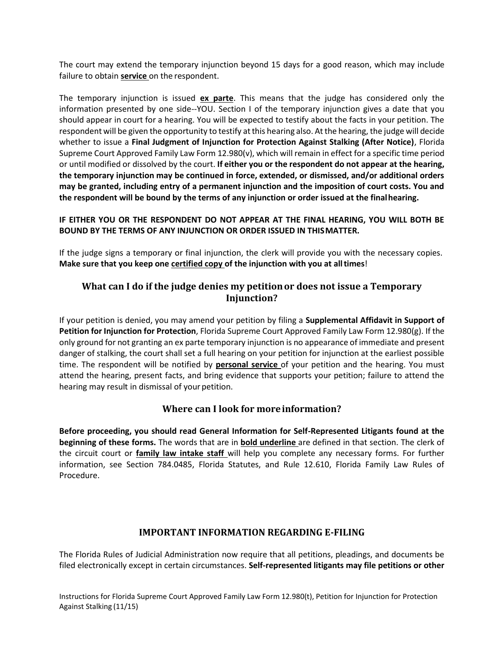The court may extend the temporary injunction beyond 15 days for a good reason, which may include failure to obtain **service** on the respondent.

The temporary injunction is issued **ex parte**. This means that the judge has considered only the information presented by one side--YOU. Section I of the temporary injunction gives a date that you should appear in court for a hearing. You will be expected to testify about the facts in your petition. The respondent will be given the opportunity to testify at this hearing also. At the hearing, the judge will decide whether to issue a **Final Judgment of Injunction for Protection Against Stalking (After Notice)**, Florida Supreme Court Approved Family Law Form 12.980(v), which will remain in effect for a specific time period or until modified or dissolved by the court. **If either you or the respondent do not appear at the hearing, the temporary injunction may be continued in force, extended, or dismissed, and/or additional orders may be granted, including entry of a permanent injunction and the imposition of court costs. You and the respondent will be bound by the terms of any injunction or order issued at the finalhearing.**

### **IF EITHER YOU OR THE RESPONDENT DO NOT APPEAR AT THE FINAL HEARING, YOU WILL BOTH BE BOUND BY THE TERMS OF ANY INJUNCTION OR ORDER ISSUED IN THISMATTER.**

If the judge signs a temporary or final injunction, the clerk will provide you with the necessary copies. **Make sure that you keep one certified copy of the injunction with you at alltimes**!

## **What can I do if the judge denies my petitionor does not issue a Temporary Injunction?**

If your petition is denied, you may amend your petition by filing a **Supplemental Affidavit in Support of Petition for Injunction for Protection**, Florida Supreme Court Approved Family Law Form 12.980(g). If the only ground for not granting an ex parte temporary injunction is no appearance of immediate and present danger of stalking, the court shall set a full hearing on your petition for injunction at the earliest possible time. The respondent will be notified by **personal service** of your petition and the hearing. You must attend the hearing, present facts, and bring evidence that supports your petition; failure to attend the hearing may result in dismissal of your petition.

## **Where can I look for moreinformation?**

**Before proceeding, you should read General Information for Self-Represented Litigants found at the beginning of these forms.** The words that are in **bold underline** are defined in that section. The clerk of the circuit court or **family law intake staff** will help you complete any necessary forms. For further information, see Section 784.0485, Florida Statutes, and Rule 12.610, Florida Family Law Rules of Procedure.

## **IMPORTANT INFORMATION REGARDING E-FILING**

The Florida Rules of Judicial Administration now require that all petitions, pleadings, and documents be filed electronically except in certain circumstances. **Self-represented litigants may file petitions or other** 

Instructions for Florida Supreme Court Approved Family Law Form 12.980(t), Petition for Injunction for Protection Against Stalking (11/15)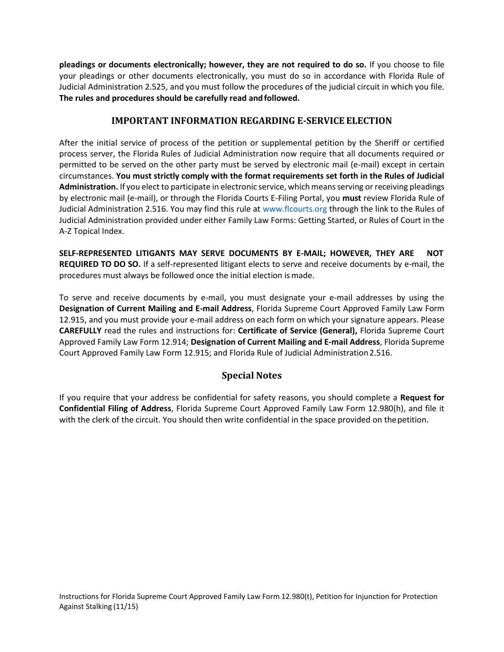**pleadings or documents electronically; however, they are not required to do so.** If you choose to file your pleadings or other documents electronically, you must do so in accordance with Florida Rule of Judicial Administration 2.525, and you must follow the procedures of the judicial circuit in which you file. **The rules and procedures should be carefully read andfollowed.**

## **IMPORTANT INFORMATION REGARDING E-SERVICE ELECTION**

After the initial service of process of the petition or supplemental petition by the Sheriff or certified process server, the Florida Rules of Judicial Administration now require that all documents required or permitted to be served on the other party must be served by electronic mail (e-mail) except in certain circumstances. **You must strictly comply with the format requirements set forth in the Rules of Judicial**  Administration. If you elect to participate in electronic service, which means serving or receiving pleadings by electronic mail (e-mail), or through the Florida Courts E-Filing Portal, you **must** review Florida Rule of Judicial Administration 2.516. You may find this rule at [www.flcourts.org](http://www.flcourts.org/) through the link to the Rules of Judicial Administration provided under either Family Law Forms: Getting Started, or Rules of Court in the A-Z Topical Index.

**SELF-REPRESENTED LITIGANTS MAY SERVE DOCUMENTS BY E-MAIL; HOWEVER, THEY ARE NOT REQUIRED TO DO SO.** If a self-represented litigant elects to serve and receive documents by e-mail, the procedures must always be followed once the initial election ismade.

To serve and receive documents by e-mail, you must designate your e-mail addresses by using the **Designation of Current Mailing and E-mail Address**, Florida Supreme Court Approved Family Law Form 12.915, and you must provide your e-mail address on each form on which your signature appears. Please **CAREFULLY** read the rules and instructions for: **Certificate of Service (General),** Florida Supreme Court Approved Family Law Form 12.914; **Designation of Current Mailing and E-mail Address**, Florida Supreme Court Approved Family Law Form 12.915; and Florida Rule of Judicial Administration2.516.

# **Special Notes**

If you require that your address be confidential for safety reasons, you should complete a **Request for Confidential Filing of Address**, Florida Supreme Court Approved Family Law Form 12.980(h), and file it with the clerk of the circuit. You should then write confidential in the space provided on thepetition.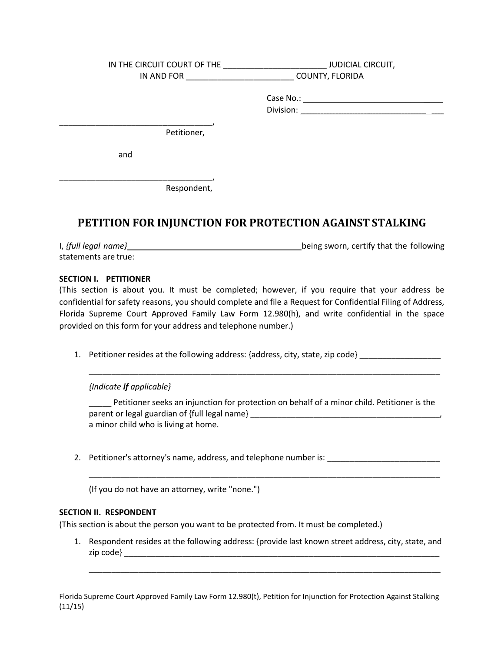| IN THE CIRCUIT COURT OF THE | JUDICIAL CIRCUIT, |
|-----------------------------|-------------------|
| IN AND FOR                  | COUNTY, FLORIDA   |
|                             |                   |
|                             | Case No.:         |
|                             | Division:         |
|                             |                   |
| Petitioner,                 |                   |
|                             |                   |
| and                         |                   |
|                             |                   |
|                             |                   |

Respondent,

## PETITION FOR INJUNCTION FOR PROTECTION AGAINST STALKING

I, *{full legal name}* being sworn, certify that the following statements are true:

### **SECTION I. PETITIONER**

(This section is about you. It must be completed; however, if you require that your address be confidential for safety reasons, you should complete and file a Request for Confidential Filing of Address, Florida Supreme Court Approved Family Law Form 12.980(h), and write confidential in the space provided on this form for your address and telephone number.)

1. Petitioner resides at the following address: {address, city, state, zip code} \_\_\_\_\_\_\_\_\_\_\_\_\_\_\_\_\_\_

### *{Indicate if applicable}*

Petitioner seeks an injunction for protection on behalf of a minor child. Petitioner is the parent or legal guardian of {full legal name} \_\_\_\_\_\_\_\_\_\_\_\_\_\_\_\_\_\_\_\_\_\_\_\_\_\_\_\_\_\_\_\_\_\_ a minor child who is living at home.

\_\_\_\_\_\_\_\_\_\_\_\_\_\_\_\_\_\_\_\_\_\_\_\_\_\_\_\_\_\_\_\_\_\_\_\_\_\_\_\_\_\_\_\_\_\_\_\_\_\_\_\_\_\_\_\_\_\_\_\_\_\_\_\_\_\_\_\_\_\_\_\_\_\_\_\_\_\_

\_\_\_\_\_\_\_\_\_\_\_\_\_\_\_\_\_\_\_\_\_\_\_\_\_\_\_\_\_\_\_\_\_\_\_\_\_\_\_\_\_\_\_\_\_\_\_\_\_\_\_\_\_\_\_\_\_\_\_\_\_\_\_\_\_\_\_\_\_\_\_\_\_\_\_\_\_\_

2. Petitioner's attorney's name, address, and telephone number is: \_\_\_\_\_\_\_\_\_\_\_\_\_

(If you do not have an attorney, write "none.")

#### **SECTION II. RESPONDENT**

(This section is about the person you want to be protected from. It must be completed.)

1. Respondent resides at the following address: {provide last known street address, city, state, and  $zip code$ }

\_\_\_\_\_\_\_\_\_\_\_\_\_\_\_\_\_\_\_\_\_\_\_\_\_\_\_\_\_\_\_\_\_\_\_\_\_\_\_\_\_\_\_\_\_\_\_\_\_\_\_\_\_\_\_\_\_\_\_\_\_\_\_\_\_\_\_\_\_\_\_\_\_\_\_\_\_\_

Florida Supreme Court Approved Family Law Form 12.980(t), Petition for Injunction for Protection Against Stalking (11/15)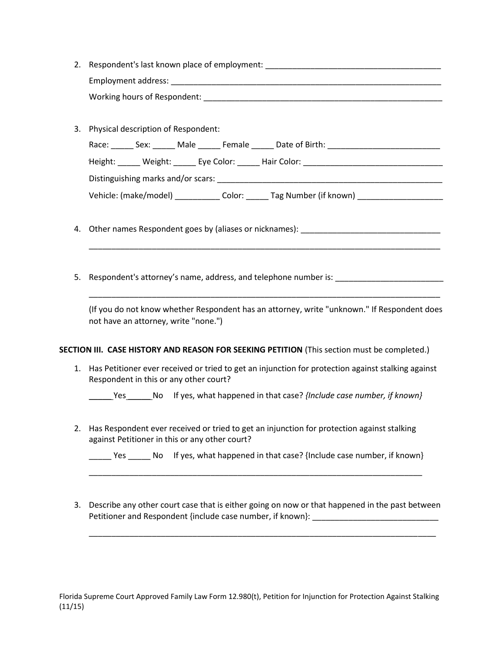- 2. Respondent's last known place of employment: \_\_\_\_\_\_\_\_\_\_\_\_\_\_\_\_\_\_\_\_\_\_\_\_\_\_\_\_\_\_\_\_ Employment address: \_\_\_\_\_\_\_\_\_\_\_\_\_\_\_\_\_\_\_\_\_\_\_\_\_\_\_\_\_\_\_\_\_\_\_\_\_\_\_\_\_\_\_\_\_\_\_\_\_\_\_\_\_\_\_\_\_\_\_\_ Working hours of Respondent: \_\_\_\_\_\_\_\_\_\_\_\_\_\_\_\_\_\_\_\_\_\_\_\_\_\_\_\_\_\_\_\_\_\_\_\_\_\_\_\_\_\_\_\_\_\_\_\_\_\_\_\_\_
- 3. Physical description of Respondent:

Race: Sex: Male Female Date of Birth: Height: \_\_\_\_\_\_ Weight: \_\_\_\_\_\_ Eye Color: \_\_\_\_\_\_ Hair Color: \_\_\_\_\_\_\_\_\_\_\_\_\_\_\_\_\_\_\_\_\_ Distinguishing marks and/or scars: \_\_\_\_\_\_\_\_\_\_\_\_\_\_\_\_\_\_\_\_\_\_\_\_\_\_\_\_\_\_\_\_\_\_\_\_\_\_\_\_\_\_\_\_\_\_\_\_\_\_ Vehicle: (make/model) \_\_\_\_\_\_\_\_\_\_ Color: \_\_\_\_\_ Tag Number (if known) \_\_\_\_\_\_\_\_\_\_\_\_\_\_\_\_\_\_\_

- 4. Other names Respondent goes by (aliases or nicknames): \_\_\_\_\_\_\_\_\_\_\_\_\_\_\_\_\_\_\_\_\_\_
- 5. Respondent's attorney's name, address, and telephone number is:

(If you do not know whether Respondent has an attorney, write "unknown." If Respondent does not have an attorney, write "none.")

\_\_\_\_\_\_\_\_\_\_\_\_\_\_\_\_\_\_\_\_\_\_\_\_\_\_\_\_\_\_\_\_\_\_\_\_\_\_\_\_\_\_\_\_\_\_\_\_\_\_\_\_\_\_\_\_\_\_\_\_\_\_\_\_\_\_\_\_\_\_\_\_\_\_\_\_\_\_

\_\_\_\_\_\_\_\_\_\_\_\_\_\_\_\_\_\_\_\_\_\_\_\_\_\_\_\_\_\_\_\_\_\_\_\_\_\_\_\_\_\_\_\_\_\_\_\_\_\_\_\_\_\_\_\_\_\_\_\_\_\_\_\_\_\_\_\_\_\_\_\_\_\_\_\_\_\_

### **SECTION III. CASE HISTORY AND REASON FOR SEEKING PETITION** (This section must be completed.)

1. Has Petitioner ever received or tried to get an injunction for protection against stalking against Respondent in this or any other court?

Yes No If yes, what happened in that case? *{Include case number, if known}* 

2. Has Respondent ever received or tried to get an injunction for protection against stalking against Petitioner in this or any other court?

Yes No If yes, what happened in that case? {Include case number, if known}

\_\_\_\_\_\_\_\_\_\_\_\_\_\_\_\_\_\_\_\_\_\_\_\_\_\_\_\_\_\_\_\_\_\_\_\_\_\_\_\_\_\_\_\_\_\_\_\_\_\_\_\_\_\_\_\_\_\_\_\_\_\_\_\_\_\_\_\_\_\_\_\_\_\_

3. Describe any other court case that is either going on now or that happened in the past between Petitioner and Respondent {include case number, if known}: \_\_\_\_\_\_\_\_\_\_\_\_\_\_\_\_\_\_\_\_\_

\_\_\_\_\_\_\_\_\_\_\_\_\_\_\_\_\_\_\_\_\_\_\_\_\_\_\_\_\_\_\_\_\_\_\_\_\_\_\_\_\_\_\_\_\_\_\_\_\_\_\_\_\_\_\_\_\_\_\_\_\_\_\_\_\_\_\_\_\_\_\_\_\_\_\_\_\_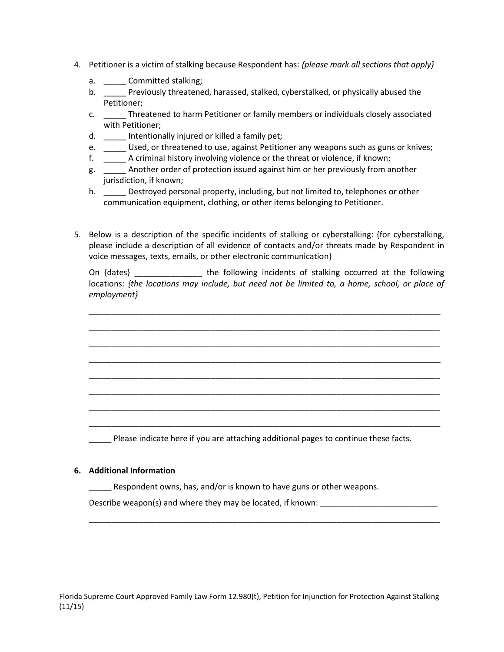- 4. Petitioner is a victim of stalking because Respondent has: *{please mark all sections that apply}*
	- a. \_\_\_\_\_\_\_ Committed stalking;
	- b. \_\_\_\_\_ Previously threatened, harassed, stalked, cyberstalked, or physically abused the Petitioner;
	- c. \_\_\_\_\_ Threatened to harm Petitioner or family members or individuals closely associated with Petitioner;
	- d. \_\_\_\_\_ Intentionally injured or killed a family pet;
	- e. \_\_\_\_\_ Used, or threatened to use, against Petitioner any weapons such as guns or knives;
	- f. \_\_\_\_\_ A criminal history involving violence or the threat or violence, if known;
	- g. \_\_\_\_\_ Another order of protection issued against him or her previously from another jurisdiction, if known;
	- h. \_\_\_\_\_ Destroyed personal property, including, but not limited to, telephones or other communication equipment, clothing, or other items belonging to Petitioner.
- 5. Below is a description of the specific incidents of stalking or cyberstalking: {for cyberstalking, please include a description of all evidence of contacts and/or threats made by Respondent in voice messages, texts, emails, or other electronic communication}

On {dates} The following incidents of stalking occurred at the following locations: *{the locations may include, but need not be limited to, a home, school, or place of employment}*

\_\_\_\_\_\_\_\_\_\_\_\_\_\_\_\_\_\_\_\_\_\_\_\_\_\_\_\_\_\_\_\_\_\_\_\_\_\_\_\_\_\_\_\_\_\_\_\_\_\_\_\_\_\_\_\_\_\_\_\_\_\_\_\_\_\_\_\_\_\_\_\_\_\_\_\_\_\_ \_\_\_\_\_\_\_\_\_\_\_\_\_\_\_\_\_\_\_\_\_\_\_\_\_\_\_\_\_\_\_\_\_\_\_\_\_\_\_\_\_\_\_\_\_\_\_\_\_\_\_\_\_\_\_\_\_\_\_\_\_\_\_\_\_\_\_\_\_\_\_\_\_\_\_\_\_\_ \_\_\_\_\_\_\_\_\_\_\_\_\_\_\_\_\_\_\_\_\_\_\_\_\_\_\_\_\_\_\_\_\_\_\_\_\_\_\_\_\_\_\_\_\_\_\_\_\_\_\_\_\_\_\_\_\_\_\_\_\_\_\_\_\_\_\_\_\_\_\_\_\_\_\_\_\_\_ \_\_\_\_\_\_\_\_\_\_\_\_\_\_\_\_\_\_\_\_\_\_\_\_\_\_\_\_\_\_\_\_\_\_\_\_\_\_\_\_\_\_\_\_\_\_\_\_\_\_\_\_\_\_\_\_\_\_\_\_\_\_\_\_\_\_\_\_\_\_\_\_\_\_\_\_\_\_ \_\_\_\_\_\_\_\_\_\_\_\_\_\_\_\_\_\_\_\_\_\_\_\_\_\_\_\_\_\_\_\_\_\_\_\_\_\_\_\_\_\_\_\_\_\_\_\_\_\_\_\_\_\_\_\_\_\_\_\_\_\_\_\_\_\_\_\_\_\_\_\_\_\_\_\_\_\_ \_\_\_\_\_\_\_\_\_\_\_\_\_\_\_\_\_\_\_\_\_\_\_\_\_\_\_\_\_\_\_\_\_\_\_\_\_\_\_\_\_\_\_\_\_\_\_\_\_\_\_\_\_\_\_\_\_\_\_\_\_\_\_\_\_\_\_\_\_\_\_\_\_\_\_\_\_\_ \_\_\_\_\_\_\_\_\_\_\_\_\_\_\_\_\_\_\_\_\_\_\_\_\_\_\_\_\_\_\_\_\_\_\_\_\_\_\_\_\_\_\_\_\_\_\_\_\_\_\_\_\_\_\_\_\_\_\_\_\_\_\_\_\_\_\_\_\_\_\_\_\_\_\_\_\_\_ \_\_\_\_\_\_\_\_\_\_\_\_\_\_\_\_\_\_\_\_\_\_\_\_\_\_\_\_\_\_\_\_\_\_\_\_\_\_\_\_\_\_\_\_\_\_\_\_\_\_\_\_\_\_\_\_\_\_\_\_\_\_\_\_\_\_\_\_\_\_\_\_\_\_\_\_\_\_

Please indicate here if you are attaching additional pages to continue these facts.

\_\_\_\_\_\_\_\_\_\_\_\_\_\_\_\_\_\_\_\_\_\_\_\_\_\_\_\_\_\_\_\_\_\_\_\_\_\_\_\_\_\_\_\_\_\_\_\_\_\_\_\_\_\_\_\_\_\_\_\_\_\_\_\_\_\_\_\_\_\_\_\_\_\_\_\_\_\_

#### **6. Additional Information**

Respondent owns, has, and/or is known to have guns or other weapons.

Describe weapon(s) and where they may be located, if known: \_\_\_\_\_\_\_\_\_\_\_\_\_\_\_\_\_\_\_\_\_

Florida Supreme Court Approved Family Law Form 12.980(t), Petition for Injunction for Protection Against Stalking (11/15)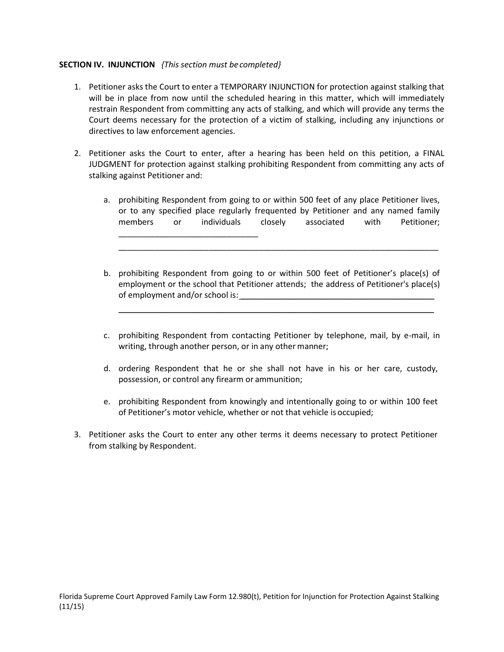### **SECTION IV. INJUNCTION** *{This section must becompleted}*

- 1. Petitioner asks the Court to enter a TEMPORARY INJUNCTION for protection against stalking that will be in place from now until the scheduled hearing in this matter, which will immediately restrain Respondent from committing any acts of stalking, and which will provide any terms the Court deems necessary for the protection of a victim of stalking, including any injunctions or directives to law enforcement agencies.
- 2. Petitioner asks the Court to enter, after a hearing has been held on this petition, a FINAL JUDGMENT for protection against stalking prohibiting Respondent from committing any acts of stalking against Petitioner and:
	- a. prohibiting Respondent from going to or within 500 feet of any place Petitioner lives, or to any specified place regularly frequented by Petitioner and any named family members or individuals closely associated with Petitioner; \_\_\_\_\_\_\_\_\_\_\_\_\_\_\_\_\_\_\_\_\_\_\_\_\_\_\_\_\_\_\_

\_\_\_\_\_\_\_\_\_\_\_\_\_\_\_\_\_\_\_\_\_\_\_\_\_\_\_\_\_\_\_\_\_\_\_\_\_\_\_\_\_\_\_\_\_\_\_\_\_\_\_\_\_\_\_\_\_\_\_\_\_\_\_\_\_\_\_\_\_\_\_

b. prohibiting Respondent from going to or within 500 feet of Petitioner's place(s) of employment or the school that Petitioner attends; the address of Petitioner's place(s) of employment and/or school is:

\_\_\_\_\_\_\_\_\_\_\_\_\_\_\_\_\_\_\_\_\_\_\_\_\_\_\_\_\_\_\_\_\_\_\_\_\_\_\_\_\_\_\_\_\_\_\_\_\_\_\_\_\_\_\_\_\_\_\_\_\_\_\_\_\_\_\_\_\_\_

- c. prohibiting Respondent from contacting Petitioner by telephone, mail, by e-mail, in writing, through another person, or in any other manner;
- d. ordering Respondent that he or she shall not have in his or her care, custody, possession, or control any firearm or ammunition;
- e. prohibiting Respondent from knowingly and intentionally going to or within 100 feet of Petitioner's motor vehicle, whether or not that vehicle is occupied;
- 3. Petitioner asks the Court to enter any other terms it deems necessary to protect Petitioner from stalking by Respondent.